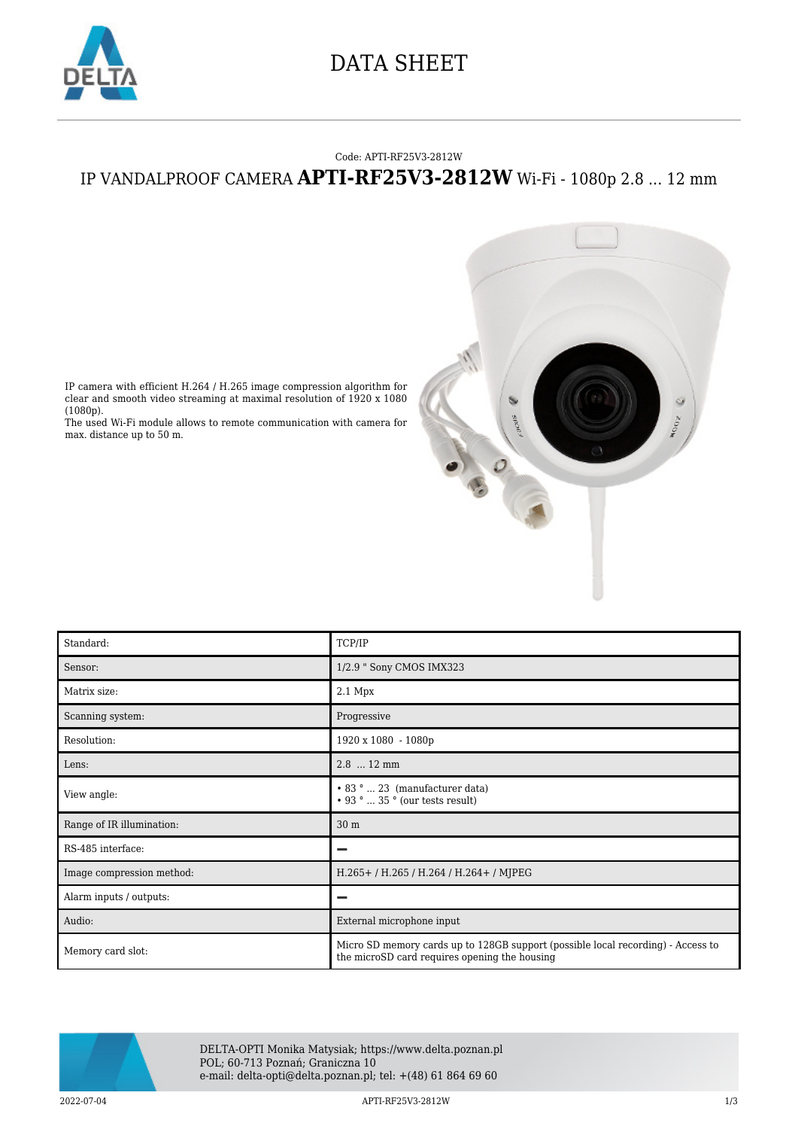

## DATA SHEET

#### Code: APTI-RF25V3-2812W

### IP VANDALPROOF CAMERA **APTI-RF25V3-2812W** Wi-Fi - 1080p 2.8 ... 12 mm



IP camera with efficient H.264 / H.265 image compression algorithm for clear and smooth video streaming at maximal resolution of 1920 x 1080 (1080p).

The used Wi-Fi module allows to remote communication with camera for max. distance up to 50 m.

| Standard:                 | TCP/IP                                                                                                                            |
|---------------------------|-----------------------------------------------------------------------------------------------------------------------------------|
| Sensor:                   | 1/2.9 " Sony CMOS IMX323                                                                                                          |
| Matrix size:              | 2.1 Mpx                                                                                                                           |
| Scanning system:          | Progressive                                                                                                                       |
| Resolution:               | 1920 x 1080 - 1080p                                                                                                               |
| Lens:                     | $2.8$ 12 mm                                                                                                                       |
| View angle:               | $\bullet$ 83 °  23 (manufacturer data)<br>$\cdot$ 93 °  35 ° (our tests result)                                                   |
| Range of IR illumination: | 30 <sub>m</sub>                                                                                                                   |
| RS-485 interface:         | -                                                                                                                                 |
| Image compression method: | H.265+/H.265/H.264/H.264+/MJPEG                                                                                                   |
| Alarm inputs / outputs:   |                                                                                                                                   |
| Audio:                    | External microphone input                                                                                                         |
| Memory card slot:         | Micro SD memory cards up to 128GB support (possible local recording) - Access to<br>the microSD card requires opening the housing |



DELTA-OPTI Monika Matysiak; https://www.delta.poznan.pl POL; 60-713 Poznań; Graniczna 10 e-mail: delta-opti@delta.poznan.pl; tel: +(48) 61 864 69 60

2022-07-04 APTI-RF25V3-2812W 1/3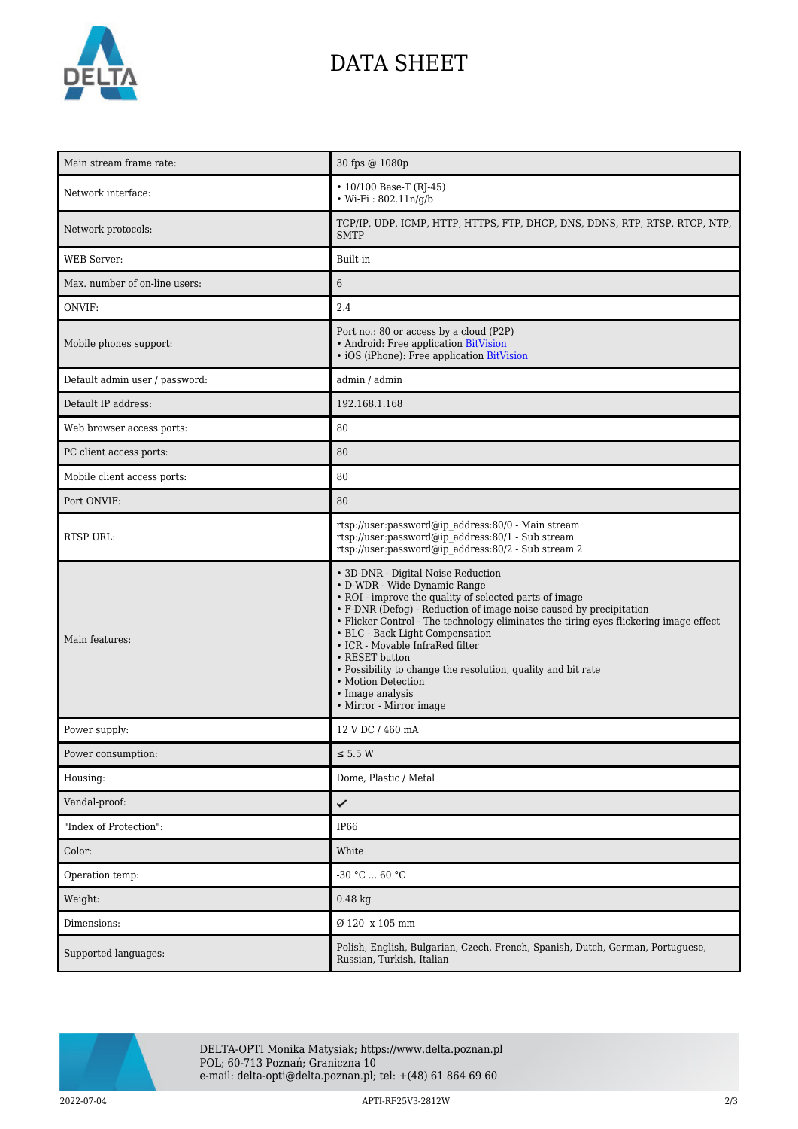

# DATA SHEET

| Main stream frame rate:        | 30 fps @ 1080p                                                                                                                                                                                                                                                                                                                                                                                                                                                                                                           |
|--------------------------------|--------------------------------------------------------------------------------------------------------------------------------------------------------------------------------------------------------------------------------------------------------------------------------------------------------------------------------------------------------------------------------------------------------------------------------------------------------------------------------------------------------------------------|
| Network interface:             | $\cdot$ 10/100 Base-T (RJ-45)<br>• Wi-Fi: $802.11n/g/b$                                                                                                                                                                                                                                                                                                                                                                                                                                                                  |
| Network protocols:             | TCP/IP, UDP, ICMP, HTTP, HTTPS, FTP, DHCP, DNS, DDNS, RTP, RTSP, RTCP, NTP,<br><b>SMTP</b>                                                                                                                                                                                                                                                                                                                                                                                                                               |
| <b>WEB</b> Server:             | Built-in                                                                                                                                                                                                                                                                                                                                                                                                                                                                                                                 |
| Max. number of on-line users:  | $6\phantom{.}6$                                                                                                                                                                                                                                                                                                                                                                                                                                                                                                          |
| ONVIF:                         | 2.4                                                                                                                                                                                                                                                                                                                                                                                                                                                                                                                      |
| Mobile phones support:         | Port no.: 80 or access by a cloud (P2P)<br>• Android: Free application BitVision<br>• iOS (iPhone): Free application BitVision                                                                                                                                                                                                                                                                                                                                                                                           |
| Default admin user / password: | admin / admin                                                                                                                                                                                                                                                                                                                                                                                                                                                                                                            |
| Default IP address:            | 192.168.1.168                                                                                                                                                                                                                                                                                                                                                                                                                                                                                                            |
| Web browser access ports:      | 80                                                                                                                                                                                                                                                                                                                                                                                                                                                                                                                       |
| PC client access ports:        | 80                                                                                                                                                                                                                                                                                                                                                                                                                                                                                                                       |
| Mobile client access ports:    | 80                                                                                                                                                                                                                                                                                                                                                                                                                                                                                                                       |
| Port ONVIF:                    | 80                                                                                                                                                                                                                                                                                                                                                                                                                                                                                                                       |
| <b>RTSP URL:</b>               | rtsp://user:password@ip_address:80/0 - Main stream<br>rtsp://user:password@ip address:80/1 - Sub stream<br>rtsp://user:password@ip_address:80/2 - Sub stream 2                                                                                                                                                                                                                                                                                                                                                           |
| Main features:                 | • 3D-DNR - Digital Noise Reduction<br>• D-WDR - Wide Dynamic Range<br>• ROI - improve the quality of selected parts of image<br>• F-DNR (Defog) - Reduction of image noise caused by precipitation<br>• Flicker Control - The technology eliminates the tiring eyes flickering image effect<br>• BLC - Back Light Compensation<br>• ICR - Movable InfraRed filter<br>• RESET button<br>• Possibility to change the resolution, quality and bit rate<br>• Motion Detection<br>• Image analysis<br>• Mirror - Mirror image |
| Power supply:                  | 12 V DC / 460 mA                                                                                                                                                                                                                                                                                                                                                                                                                                                                                                         |
| Power consumption:             | $\leq$ 5.5 W                                                                                                                                                                                                                                                                                                                                                                                                                                                                                                             |
| Housing:                       | Dome, Plastic / Metal                                                                                                                                                                                                                                                                                                                                                                                                                                                                                                    |
| Vandal-proof:                  | ✓                                                                                                                                                                                                                                                                                                                                                                                                                                                                                                                        |
| "Index of Protection":         | IP <sub>66</sub>                                                                                                                                                                                                                                                                                                                                                                                                                                                                                                         |
| Color:                         | White                                                                                                                                                                                                                                                                                                                                                                                                                                                                                                                    |
| Operation temp:                | $-30 °C  60 °C$                                                                                                                                                                                                                                                                                                                                                                                                                                                                                                          |
| Weight:                        | $0.48$ kg                                                                                                                                                                                                                                                                                                                                                                                                                                                                                                                |
| Dimensions:                    | Ø 120 x 105 mm                                                                                                                                                                                                                                                                                                                                                                                                                                                                                                           |
| Supported languages:           | Polish, English, Bulgarian, Czech, French, Spanish, Dutch, German, Portuguese,<br>Russian, Turkish, Italian                                                                                                                                                                                                                                                                                                                                                                                                              |



DELTA-OPTI Monika Matysiak; https://www.delta.poznan.pl POL; 60-713 Poznań; Graniczna 10 e-mail: delta-opti@delta.poznan.pl; tel: +(48) 61 864 69 60

2022-07-04 APTI-RF25V3-2812W 2/3